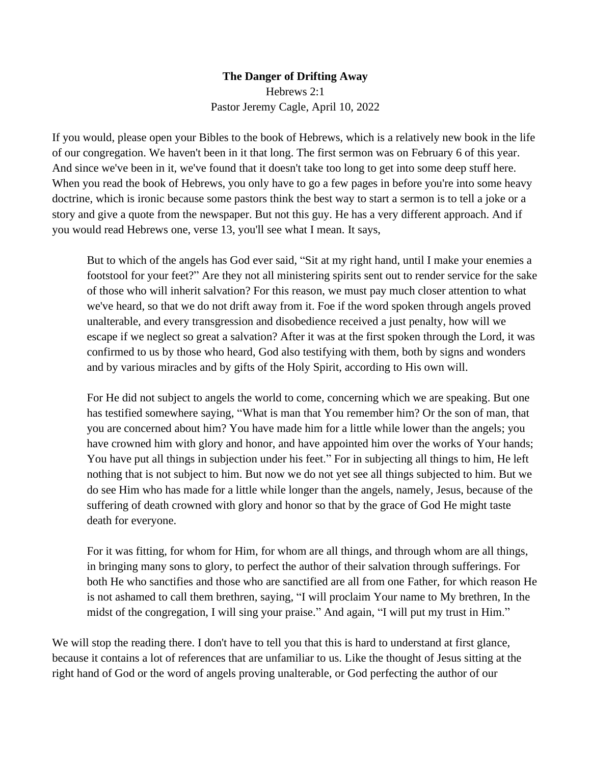## **The Danger of Drifting Away** Hebrews 2:1 Pastor Jeremy Cagle, April 10, 2022

If you would, please open your Bibles to the book of Hebrews, which is a relatively new book in the life of our congregation. We haven't been in it that long. The first sermon was on February 6 of this year. And since we've been in it, we've found that it doesn't take too long to get into some deep stuff here. When you read the book of Hebrews, you only have to go a few pages in before you're into some heavy doctrine, which is ironic because some pastors think the best way to start a sermon is to tell a joke or a story and give a quote from the newspaper. But not this guy. He has a very different approach. And if you would read Hebrews one, verse 13, you'll see what I mean. It says,

But to which of the angels has God ever said, "Sit at my right hand, until I make your enemies a footstool for your feet?" Are they not all ministering spirits sent out to render service for the sake of those who will inherit salvation? For this reason, we must pay much closer attention to what we've heard, so that we do not drift away from it. Foe if the word spoken through angels proved unalterable, and every transgression and disobedience received a just penalty, how will we escape if we neglect so great a salvation? After it was at the first spoken through the Lord, it was confirmed to us by those who heard, God also testifying with them, both by signs and wonders and by various miracles and by gifts of the Holy Spirit, according to His own will.

For He did not subject to angels the world to come, concerning which we are speaking. But one has testified somewhere saying, "What is man that You remember him? Or the son of man, that you are concerned about him? You have made him for a little while lower than the angels; you have crowned him with glory and honor, and have appointed him over the works of Your hands; You have put all things in subjection under his feet." For in subjecting all things to him, He left nothing that is not subject to him. But now we do not yet see all things subjected to him. But we do see Him who has made for a little while longer than the angels, namely, Jesus, because of the suffering of death crowned with glory and honor so that by the grace of God He might taste death for everyone.

For it was fitting, for whom for Him, for whom are all things, and through whom are all things, in bringing many sons to glory, to perfect the author of their salvation through sufferings. For both He who sanctifies and those who are sanctified are all from one Father, for which reason He is not ashamed to call them brethren, saying, "I will proclaim Your name to My brethren, In the midst of the congregation, I will sing your praise." And again, "I will put my trust in Him."

We will stop the reading there. I don't have to tell you that this is hard to understand at first glance, because it contains a lot of references that are unfamiliar to us. Like the thought of Jesus sitting at the right hand of God or the word of angels proving unalterable, or God perfecting the author of our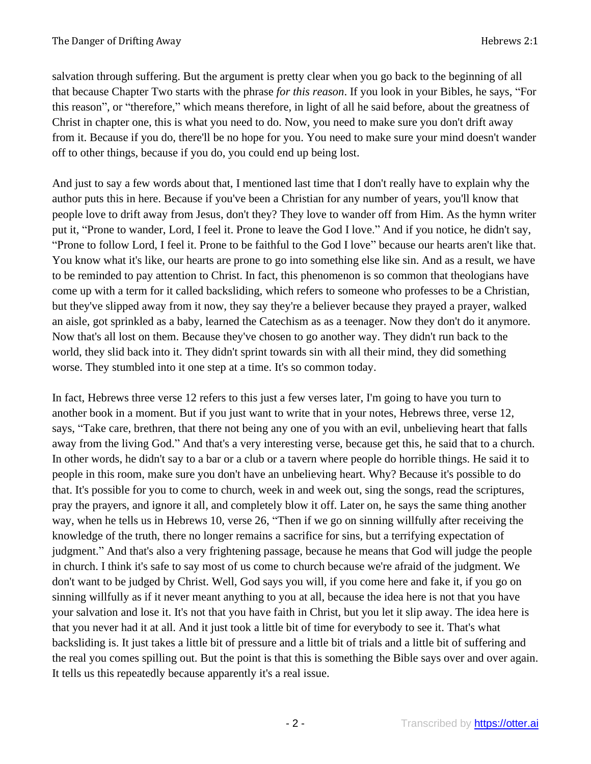salvation through suffering. But the argument is pretty clear when you go back to the beginning of all that because Chapter Two starts with the phrase *for this reason*. If you look in your Bibles, he says, "For this reason", or "therefore," which means therefore, in light of all he said before, about the greatness of Christ in chapter one, this is what you need to do. Now, you need to make sure you don't drift away from it. Because if you do, there'll be no hope for you. You need to make sure your mind doesn't wander off to other things, because if you do, you could end up being lost.

And just to say a few words about that, I mentioned last time that I don't really have to explain why the author puts this in here. Because if you've been a Christian for any number of years, you'll know that people love to drift away from Jesus, don't they? They love to wander off from Him. As the hymn writer put it, "Prone to wander, Lord, I feel it. Prone to leave the God I love." And if you notice, he didn't say, "Prone to follow Lord, I feel it. Prone to be faithful to the God I love" because our hearts aren't like that. You know what it's like, our hearts are prone to go into something else like sin. And as a result, we have to be reminded to pay attention to Christ. In fact, this phenomenon is so common that theologians have come up with a term for it called backsliding, which refers to someone who professes to be a Christian, but they've slipped away from it now, they say they're a believer because they prayed a prayer, walked an aisle, got sprinkled as a baby, learned the Catechism as as a teenager. Now they don't do it anymore. Now that's all lost on them. Because they've chosen to go another way. They didn't run back to the world, they slid back into it. They didn't sprint towards sin with all their mind, they did something worse. They stumbled into it one step at a time. It's so common today.

In fact, Hebrews three verse 12 refers to this just a few verses later, I'm going to have you turn to another book in a moment. But if you just want to write that in your notes, Hebrews three, verse 12, says, "Take care, brethren, that there not being any one of you with an evil, unbelieving heart that falls away from the living God." And that's a very interesting verse, because get this, he said that to a church. In other words, he didn't say to a bar or a club or a tavern where people do horrible things. He said it to people in this room, make sure you don't have an unbelieving heart. Why? Because it's possible to do that. It's possible for you to come to church, week in and week out, sing the songs, read the scriptures, pray the prayers, and ignore it all, and completely blow it off. Later on, he says the same thing another way, when he tells us in Hebrews 10, verse 26, "Then if we go on sinning willfully after receiving the knowledge of the truth, there no longer remains a sacrifice for sins, but a terrifying expectation of judgment." And that's also a very frightening passage, because he means that God will judge the people in church. I think it's safe to say most of us come to church because we're afraid of the judgment. We don't want to be judged by Christ. Well, God says you will, if you come here and fake it, if you go on sinning willfully as if it never meant anything to you at all, because the idea here is not that you have your salvation and lose it. It's not that you have faith in Christ, but you let it slip away. The idea here is that you never had it at all. And it just took a little bit of time for everybody to see it. That's what backsliding is. It just takes a little bit of pressure and a little bit of trials and a little bit of suffering and the real you comes spilling out. But the point is that this is something the Bible says over and over again. It tells us this repeatedly because apparently it's a real issue.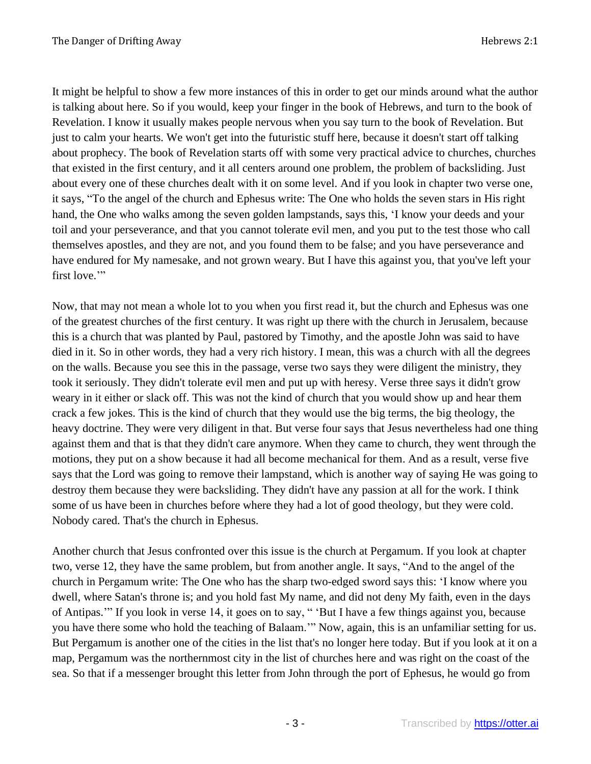It might be helpful to show a few more instances of this in order to get our minds around what the author is talking about here. So if you would, keep your finger in the book of Hebrews, and turn to the book of Revelation. I know it usually makes people nervous when you say turn to the book of Revelation. But just to calm your hearts. We won't get into the futuristic stuff here, because it doesn't start off talking about prophecy. The book of Revelation starts off with some very practical advice to churches, churches that existed in the first century, and it all centers around one problem, the problem of backsliding. Just about every one of these churches dealt with it on some level. And if you look in chapter two verse one, it says, "To the angel of the church and Ephesus write: The One who holds the seven stars in His right hand, the One who walks among the seven golden lampstands, says this, 'I know your deeds and your toil and your perseverance, and that you cannot tolerate evil men, and you put to the test those who call themselves apostles, and they are not, and you found them to be false; and you have perseverance and have endured for My namesake, and not grown weary. But I have this against you, that you've left your first love."

Now, that may not mean a whole lot to you when you first read it, but the church and Ephesus was one of the greatest churches of the first century. It was right up there with the church in Jerusalem, because this is a church that was planted by Paul, pastored by Timothy, and the apostle John was said to have died in it. So in other words, they had a very rich history. I mean, this was a church with all the degrees on the walls. Because you see this in the passage, verse two says they were diligent the ministry, they took it seriously. They didn't tolerate evil men and put up with heresy. Verse three says it didn't grow weary in it either or slack off. This was not the kind of church that you would show up and hear them crack a few jokes. This is the kind of church that they would use the big terms, the big theology, the heavy doctrine. They were very diligent in that. But verse four says that Jesus nevertheless had one thing against them and that is that they didn't care anymore. When they came to church, they went through the motions, they put on a show because it had all become mechanical for them. And as a result, verse five says that the Lord was going to remove their lampstand, which is another way of saying He was going to destroy them because they were backsliding. They didn't have any passion at all for the work. I think some of us have been in churches before where they had a lot of good theology, but they were cold. Nobody cared. That's the church in Ephesus.

Another church that Jesus confronted over this issue is the church at Pergamum. If you look at chapter two, verse 12, they have the same problem, but from another angle. It says, "And to the angel of the church in Pergamum write: The One who has the sharp two-edged sword says this: 'I know where you dwell, where Satan's throne is; and you hold fast My name, and did not deny My faith, even in the days of Antipas.'" If you look in verse 14, it goes on to say, " 'But I have a few things against you, because you have there some who hold the teaching of Balaam.'" Now, again, this is an unfamiliar setting for us. But Pergamum is another one of the cities in the list that's no longer here today. But if you look at it on a map, Pergamum was the northernmost city in the list of churches here and was right on the coast of the sea. So that if a messenger brought this letter from John through the port of Ephesus, he would go from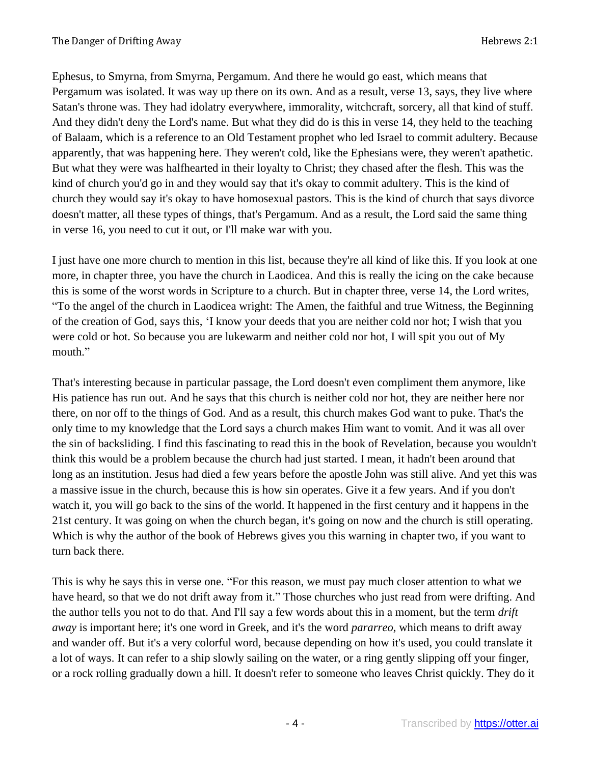Ephesus, to Smyrna, from Smyrna, Pergamum. And there he would go east, which means that Pergamum was isolated. It was way up there on its own. And as a result, verse 13, says, they live where Satan's throne was. They had idolatry everywhere, immorality, witchcraft, sorcery, all that kind of stuff. And they didn't deny the Lord's name. But what they did do is this in verse 14, they held to the teaching of Balaam, which is a reference to an Old Testament prophet who led Israel to commit adultery. Because apparently, that was happening here. They weren't cold, like the Ephesians were, they weren't apathetic. But what they were was halfhearted in their loyalty to Christ; they chased after the flesh. This was the kind of church you'd go in and they would say that it's okay to commit adultery. This is the kind of church they would say it's okay to have homosexual pastors. This is the kind of church that says divorce doesn't matter, all these types of things, that's Pergamum. And as a result, the Lord said the same thing in verse 16, you need to cut it out, or I'll make war with you.

I just have one more church to mention in this list, because they're all kind of like this. If you look at one more, in chapter three, you have the church in Laodicea. And this is really the icing on the cake because this is some of the worst words in Scripture to a church. But in chapter three, verse 14, the Lord writes, "To the angel of the church in Laodicea wright: The Amen, the faithful and true Witness, the Beginning of the creation of God, says this, 'I know your deeds that you are neither cold nor hot; I wish that you were cold or hot. So because you are lukewarm and neither cold nor hot, I will spit you out of My mouth."

That's interesting because in particular passage, the Lord doesn't even compliment them anymore, like His patience has run out. And he says that this church is neither cold nor hot, they are neither here nor there, on nor off to the things of God. And as a result, this church makes God want to puke. That's the only time to my knowledge that the Lord says a church makes Him want to vomit. And it was all over the sin of backsliding. I find this fascinating to read this in the book of Revelation, because you wouldn't think this would be a problem because the church had just started. I mean, it hadn't been around that long as an institution. Jesus had died a few years before the apostle John was still alive. And yet this was a massive issue in the church, because this is how sin operates. Give it a few years. And if you don't watch it, you will go back to the sins of the world. It happened in the first century and it happens in the 21st century. It was going on when the church began, it's going on now and the church is still operating. Which is why the author of the book of Hebrews gives you this warning in chapter two, if you want to turn back there.

This is why he says this in verse one. "For this reason, we must pay much closer attention to what we have heard, so that we do not drift away from it." Those churches who just read from were drifting. And the author tells you not to do that. And I'll say a few words about this in a moment, but the term *drift away* is important here; it's one word in Greek, and it's the word *pararreo*, which means to drift away and wander off. But it's a very colorful word, because depending on how it's used, you could translate it a lot of ways. It can refer to a ship slowly sailing on the water, or a ring gently slipping off your finger, or a rock rolling gradually down a hill. It doesn't refer to someone who leaves Christ quickly. They do it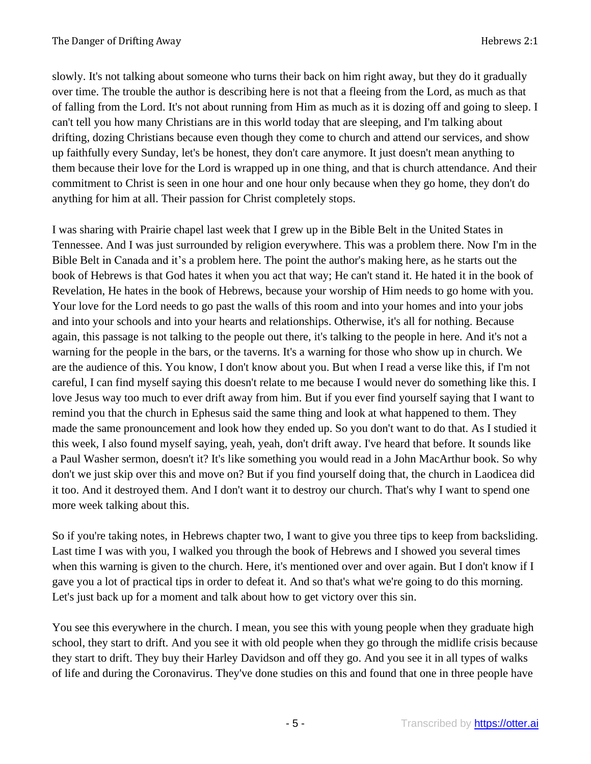slowly. It's not talking about someone who turns their back on him right away, but they do it gradually over time. The trouble the author is describing here is not that a fleeing from the Lord, as much as that of falling from the Lord. It's not about running from Him as much as it is dozing off and going to sleep. I can't tell you how many Christians are in this world today that are sleeping, and I'm talking about drifting, dozing Christians because even though they come to church and attend our services, and show up faithfully every Sunday, let's be honest, they don't care anymore. It just doesn't mean anything to them because their love for the Lord is wrapped up in one thing, and that is church attendance. And their commitment to Christ is seen in one hour and one hour only because when they go home, they don't do anything for him at all. Their passion for Christ completely stops.

I was sharing with Prairie chapel last week that I grew up in the Bible Belt in the United States in Tennessee. And I was just surrounded by religion everywhere. This was a problem there. Now I'm in the Bible Belt in Canada and it's a problem here. The point the author's making here, as he starts out the book of Hebrews is that God hates it when you act that way; He can't stand it. He hated it in the book of Revelation, He hates in the book of Hebrews, because your worship of Him needs to go home with you. Your love for the Lord needs to go past the walls of this room and into your homes and into your jobs and into your schools and into your hearts and relationships. Otherwise, it's all for nothing. Because again, this passage is not talking to the people out there, it's talking to the people in here. And it's not a warning for the people in the bars, or the taverns. It's a warning for those who show up in church. We are the audience of this. You know, I don't know about you. But when I read a verse like this, if I'm not careful, I can find myself saying this doesn't relate to me because I would never do something like this. I love Jesus way too much to ever drift away from him. But if you ever find yourself saying that I want to remind you that the church in Ephesus said the same thing and look at what happened to them. They made the same pronouncement and look how they ended up. So you don't want to do that. As I studied it this week, I also found myself saying, yeah, yeah, don't drift away. I've heard that before. It sounds like a Paul Washer sermon, doesn't it? It's like something you would read in a John MacArthur book. So why don't we just skip over this and move on? But if you find yourself doing that, the church in Laodicea did it too. And it destroyed them. And I don't want it to destroy our church. That's why I want to spend one more week talking about this.

So if you're taking notes, in Hebrews chapter two, I want to give you three tips to keep from backsliding. Last time I was with you, I walked you through the book of Hebrews and I showed you several times when this warning is given to the church. Here, it's mentioned over and over again. But I don't know if I gave you a lot of practical tips in order to defeat it. And so that's what we're going to do this morning. Let's just back up for a moment and talk about how to get victory over this sin.

You see this everywhere in the church. I mean, you see this with young people when they graduate high school, they start to drift. And you see it with old people when they go through the midlife crisis because they start to drift. They buy their Harley Davidson and off they go. And you see it in all types of walks of life and during the Coronavirus. They've done studies on this and found that one in three people have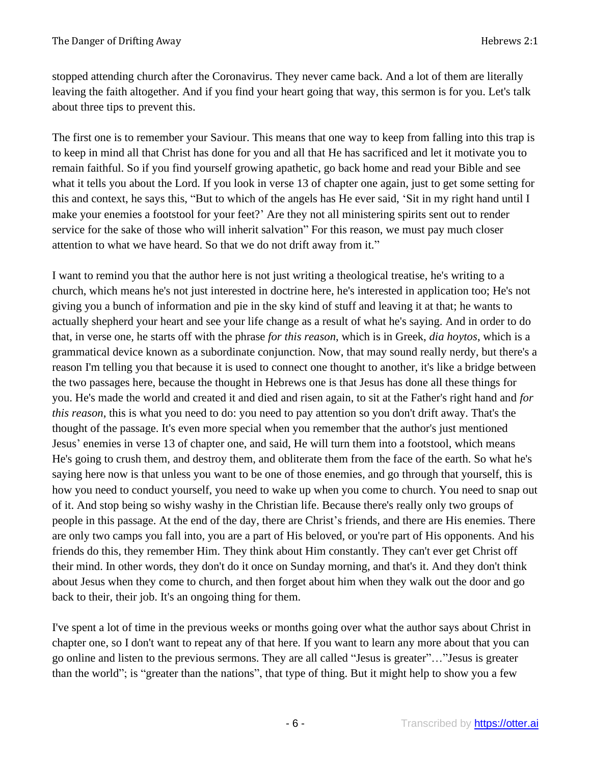stopped attending church after the Coronavirus. They never came back. And a lot of them are literally leaving the faith altogether. And if you find your heart going that way, this sermon is for you. Let's talk about three tips to prevent this.

The first one is to remember your Saviour. This means that one way to keep from falling into this trap is to keep in mind all that Christ has done for you and all that He has sacrificed and let it motivate you to remain faithful. So if you find yourself growing apathetic, go back home and read your Bible and see what it tells you about the Lord. If you look in verse 13 of chapter one again, just to get some setting for this and context, he says this, "But to which of the angels has He ever said, 'Sit in my right hand until I make your enemies a footstool for your feet?' Are they not all ministering spirits sent out to render service for the sake of those who will inherit salvation" For this reason, we must pay much closer attention to what we have heard. So that we do not drift away from it."

I want to remind you that the author here is not just writing a theological treatise, he's writing to a church, which means he's not just interested in doctrine here, he's interested in application too; He's not giving you a bunch of information and pie in the sky kind of stuff and leaving it at that; he wants to actually shepherd your heart and see your life change as a result of what he's saying. And in order to do that, in verse one, he starts off with the phrase *for this reason*, which is in Greek, *dia hoytos*, which is a grammatical device known as a subordinate conjunction. Now, that may sound really nerdy, but there's a reason I'm telling you that because it is used to connect one thought to another, it's like a bridge between the two passages here, because the thought in Hebrews one is that Jesus has done all these things for you. He's made the world and created it and died and risen again, to sit at the Father's right hand and *for this reason*, this is what you need to do: you need to pay attention so you don't drift away. That's the thought of the passage. It's even more special when you remember that the author's just mentioned Jesus' enemies in verse 13 of chapter one, and said, He will turn them into a footstool, which means He's going to crush them, and destroy them, and obliterate them from the face of the earth. So what he's saying here now is that unless you want to be one of those enemies, and go through that yourself, this is how you need to conduct yourself, you need to wake up when you come to church. You need to snap out of it. And stop being so wishy washy in the Christian life. Because there's really only two groups of people in this passage. At the end of the day, there are Christ's friends, and there are His enemies. There are only two camps you fall into, you are a part of His beloved, or you're part of His opponents. And his friends do this, they remember Him. They think about Him constantly. They can't ever get Christ off their mind. In other words, they don't do it once on Sunday morning, and that's it. And they don't think about Jesus when they come to church, and then forget about him when they walk out the door and go back to their, their job. It's an ongoing thing for them.

I've spent a lot of time in the previous weeks or months going over what the author says about Christ in chapter one, so I don't want to repeat any of that here. If you want to learn any more about that you can go online and listen to the previous sermons. They are all called "Jesus is greater"…"Jesus is greater than the world"; is "greater than the nations", that type of thing. But it might help to show you a few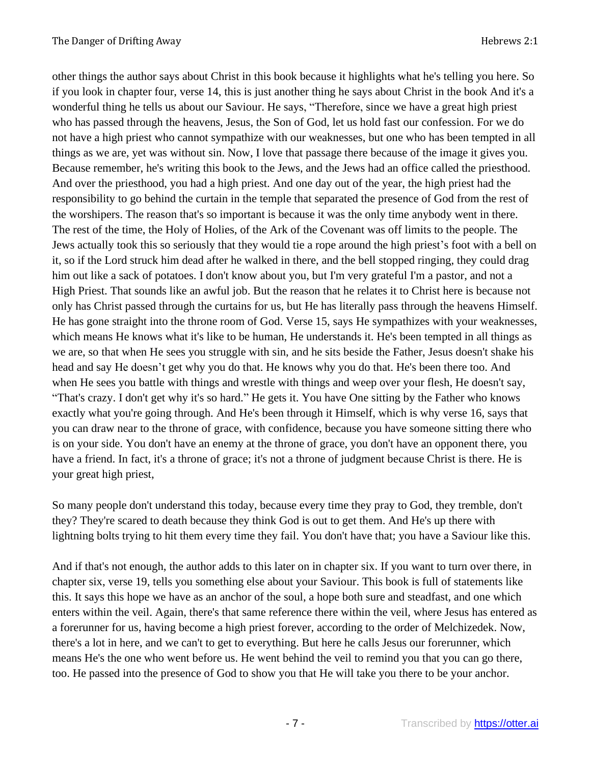other things the author says about Christ in this book because it highlights what he's telling you here. So if you look in chapter four, verse 14, this is just another thing he says about Christ in the book And it's a wonderful thing he tells us about our Saviour. He says, "Therefore, since we have a great high priest who has passed through the heavens, Jesus, the Son of God, let us hold fast our confession. For we do not have a high priest who cannot sympathize with our weaknesses, but one who has been tempted in all things as we are, yet was without sin. Now, I love that passage there because of the image it gives you. Because remember, he's writing this book to the Jews, and the Jews had an office called the priesthood. And over the priesthood, you had a high priest. And one day out of the year, the high priest had the responsibility to go behind the curtain in the temple that separated the presence of God from the rest of the worshipers. The reason that's so important is because it was the only time anybody went in there. The rest of the time, the Holy of Holies, of the Ark of the Covenant was off limits to the people. The Jews actually took this so seriously that they would tie a rope around the high priest's foot with a bell on it, so if the Lord struck him dead after he walked in there, and the bell stopped ringing, they could drag him out like a sack of potatoes. I don't know about you, but I'm very grateful I'm a pastor, and not a High Priest. That sounds like an awful job. But the reason that he relates it to Christ here is because not only has Christ passed through the curtains for us, but He has literally pass through the heavens Himself. He has gone straight into the throne room of God. Verse 15, says He sympathizes with your weaknesses, which means He knows what it's like to be human, He understands it. He's been tempted in all things as we are, so that when He sees you struggle with sin, and he sits beside the Father, Jesus doesn't shake his head and say He doesn't get why you do that. He knows why you do that. He's been there too. And when He sees you battle with things and wrestle with things and weep over your flesh, He doesn't say, "That's crazy. I don't get why it's so hard." He gets it. You have One sitting by the Father who knows exactly what you're going through. And He's been through it Himself, which is why verse 16, says that you can draw near to the throne of grace, with confidence, because you have someone sitting there who is on your side. You don't have an enemy at the throne of grace, you don't have an opponent there, you have a friend. In fact, it's a throne of grace; it's not a throne of judgment because Christ is there. He is your great high priest,

So many people don't understand this today, because every time they pray to God, they tremble, don't they? They're scared to death because they think God is out to get them. And He's up there with lightning bolts trying to hit them every time they fail. You don't have that; you have a Saviour like this.

And if that's not enough, the author adds to this later on in chapter six. If you want to turn over there, in chapter six, verse 19, tells you something else about your Saviour. This book is full of statements like this. It says this hope we have as an anchor of the soul, a hope both sure and steadfast, and one which enters within the veil. Again, there's that same reference there within the veil, where Jesus has entered as a forerunner for us, having become a high priest forever, according to the order of Melchizedek. Now, there's a lot in here, and we can't to get to everything. But here he calls Jesus our forerunner, which means He's the one who went before us. He went behind the veil to remind you that you can go there, too. He passed into the presence of God to show you that He will take you there to be your anchor.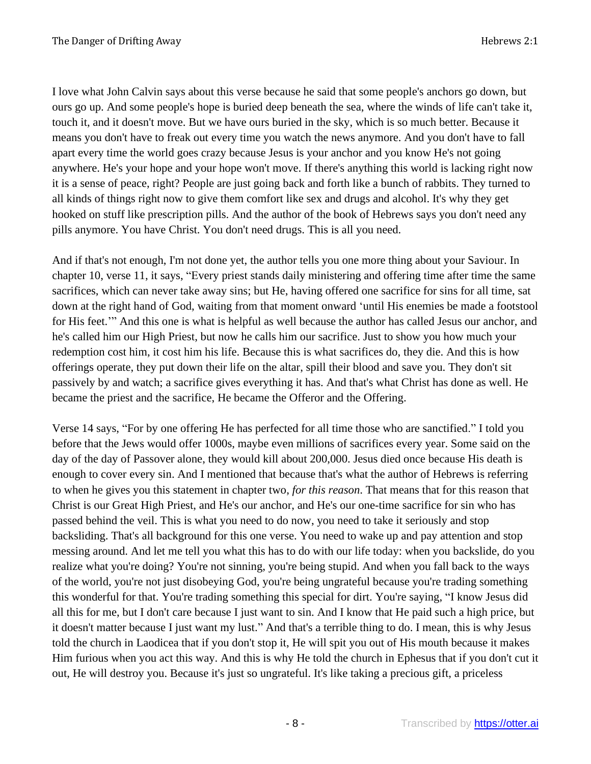I love what John Calvin says about this verse because he said that some people's anchors go down, but ours go up. And some people's hope is buried deep beneath the sea, where the winds of life can't take it, touch it, and it doesn't move. But we have ours buried in the sky, which is so much better. Because it means you don't have to freak out every time you watch the news anymore. And you don't have to fall apart every time the world goes crazy because Jesus is your anchor and you know He's not going anywhere. He's your hope and your hope won't move. If there's anything this world is lacking right now it is a sense of peace, right? People are just going back and forth like a bunch of rabbits. They turned to all kinds of things right now to give them comfort like sex and drugs and alcohol. It's why they get hooked on stuff like prescription pills. And the author of the book of Hebrews says you don't need any pills anymore. You have Christ. You don't need drugs. This is all you need.

And if that's not enough, I'm not done yet, the author tells you one more thing about your Saviour. In chapter 10, verse 11, it says, "Every priest stands daily ministering and offering time after time the same sacrifices, which can never take away sins; but He, having offered one sacrifice for sins for all time, sat down at the right hand of God, waiting from that moment onward 'until His enemies be made a footstool for His feet.'" And this one is what is helpful as well because the author has called Jesus our anchor, and he's called him our High Priest, but now he calls him our sacrifice. Just to show you how much your redemption cost him, it cost him his life. Because this is what sacrifices do, they die. And this is how offerings operate, they put down their life on the altar, spill their blood and save you. They don't sit passively by and watch; a sacrifice gives everything it has. And that's what Christ has done as well. He became the priest and the sacrifice, He became the Offeror and the Offering.

Verse 14 says, "For by one offering He has perfected for all time those who are sanctified." I told you before that the Jews would offer 1000s, maybe even millions of sacrifices every year. Some said on the day of the day of Passover alone, they would kill about 200,000. Jesus died once because His death is enough to cover every sin. And I mentioned that because that's what the author of Hebrews is referring to when he gives you this statement in chapter two, *for this reason*. That means that for this reason that Christ is our Great High Priest, and He's our anchor, and He's our one-time sacrifice for sin who has passed behind the veil. This is what you need to do now, you need to take it seriously and stop backsliding. That's all background for this one verse. You need to wake up and pay attention and stop messing around. And let me tell you what this has to do with our life today: when you backslide, do you realize what you're doing? You're not sinning, you're being stupid. And when you fall back to the ways of the world, you're not just disobeying God, you're being ungrateful because you're trading something this wonderful for that. You're trading something this special for dirt. You're saying, "I know Jesus did all this for me, but I don't care because I just want to sin. And I know that He paid such a high price, but it doesn't matter because I just want my lust." And that's a terrible thing to do. I mean, this is why Jesus told the church in Laodicea that if you don't stop it, He will spit you out of His mouth because it makes Him furious when you act this way. And this is why He told the church in Ephesus that if you don't cut it out, He will destroy you. Because it's just so ungrateful. It's like taking a precious gift, a priceless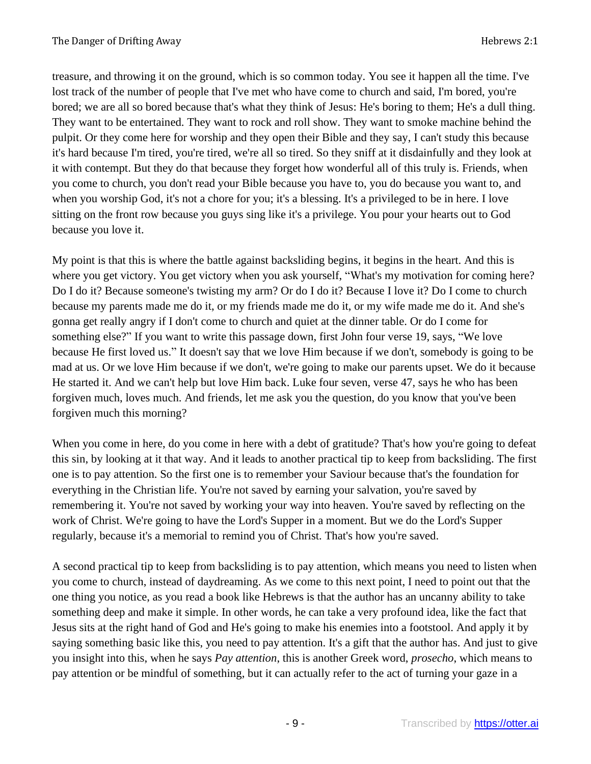treasure, and throwing it on the ground, which is so common today. You see it happen all the time. I've lost track of the number of people that I've met who have come to church and said, I'm bored, you're bored; we are all so bored because that's what they think of Jesus: He's boring to them; He's a dull thing. They want to be entertained. They want to rock and roll show. They want to smoke machine behind the pulpit. Or they come here for worship and they open their Bible and they say, I can't study this because it's hard because I'm tired, you're tired, we're all so tired. So they sniff at it disdainfully and they look at it with contempt. But they do that because they forget how wonderful all of this truly is. Friends, when you come to church, you don't read your Bible because you have to, you do because you want to, and when you worship God, it's not a chore for you; it's a blessing. It's a privileged to be in here. I love sitting on the front row because you guys sing like it's a privilege. You pour your hearts out to God because you love it.

My point is that this is where the battle against backsliding begins, it begins in the heart. And this is where you get victory. You get victory when you ask yourself, "What's my motivation for coming here? Do I do it? Because someone's twisting my arm? Or do I do it? Because I love it? Do I come to church because my parents made me do it, or my friends made me do it, or my wife made me do it. And she's gonna get really angry if I don't come to church and quiet at the dinner table. Or do I come for something else?" If you want to write this passage down, first John four verse 19, says, "We love because He first loved us." It doesn't say that we love Him because if we don't, somebody is going to be mad at us. Or we love Him because if we don't, we're going to make our parents upset. We do it because He started it. And we can't help but love Him back. Luke four seven, verse 47, says he who has been forgiven much, loves much. And friends, let me ask you the question, do you know that you've been forgiven much this morning?

When you come in here, do you come in here with a debt of gratitude? That's how you're going to defeat this sin, by looking at it that way. And it leads to another practical tip to keep from backsliding. The first one is to pay attention. So the first one is to remember your Saviour because that's the foundation for everything in the Christian life. You're not saved by earning your salvation, you're saved by remembering it. You're not saved by working your way into heaven. You're saved by reflecting on the work of Christ. We're going to have the Lord's Supper in a moment. But we do the Lord's Supper regularly, because it's a memorial to remind you of Christ. That's how you're saved.

A second practical tip to keep from backsliding is to pay attention, which means you need to listen when you come to church, instead of daydreaming. As we come to this next point, I need to point out that the one thing you notice, as you read a book like Hebrews is that the author has an uncanny ability to take something deep and make it simple. In other words, he can take a very profound idea, like the fact that Jesus sits at the right hand of God and He's going to make his enemies into a footstool. And apply it by saying something basic like this, you need to pay attention. It's a gift that the author has. And just to give you insight into this, when he says *Pay attention*, this is another Greek word, *prosecho*, which means to pay attention or be mindful of something, but it can actually refer to the act of turning your gaze in a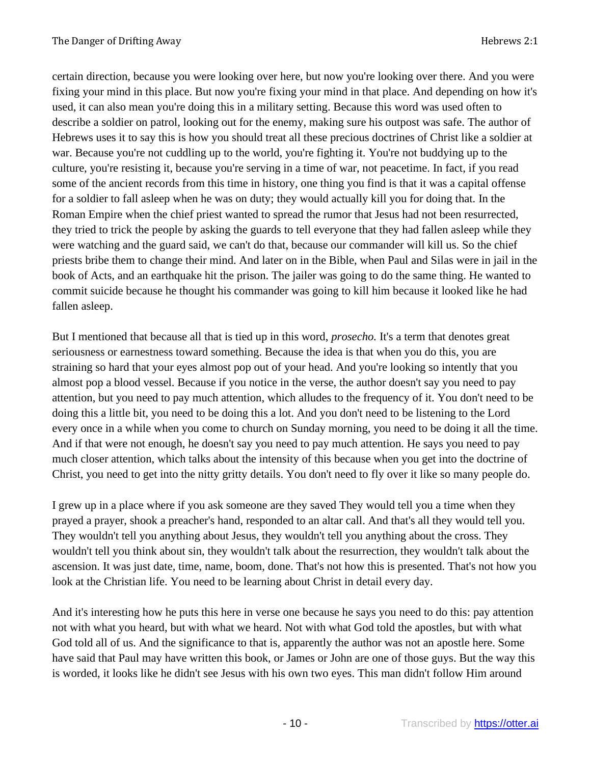certain direction, because you were looking over here, but now you're looking over there. And you were fixing your mind in this place. But now you're fixing your mind in that place. And depending on how it's used, it can also mean you're doing this in a military setting. Because this word was used often to describe a soldier on patrol, looking out for the enemy, making sure his outpost was safe. The author of Hebrews uses it to say this is how you should treat all these precious doctrines of Christ like a soldier at war. Because you're not cuddling up to the world, you're fighting it. You're not buddying up to the culture, you're resisting it, because you're serving in a time of war, not peacetime. In fact, if you read some of the ancient records from this time in history, one thing you find is that it was a capital offense for a soldier to fall asleep when he was on duty; they would actually kill you for doing that. In the Roman Empire when the chief priest wanted to spread the rumor that Jesus had not been resurrected, they tried to trick the people by asking the guards to tell everyone that they had fallen asleep while they were watching and the guard said, we can't do that, because our commander will kill us. So the chief priests bribe them to change their mind. And later on in the Bible, when Paul and Silas were in jail in the book of Acts, and an earthquake hit the prison. The jailer was going to do the same thing. He wanted to commit suicide because he thought his commander was going to kill him because it looked like he had fallen asleep.

But I mentioned that because all that is tied up in this word, *prosecho.* It's a term that denotes great seriousness or earnestness toward something. Because the idea is that when you do this, you are straining so hard that your eyes almost pop out of your head. And you're looking so intently that you almost pop a blood vessel. Because if you notice in the verse, the author doesn't say you need to pay attention, but you need to pay much attention, which alludes to the frequency of it. You don't need to be doing this a little bit, you need to be doing this a lot. And you don't need to be listening to the Lord every once in a while when you come to church on Sunday morning, you need to be doing it all the time. And if that were not enough, he doesn't say you need to pay much attention. He says you need to pay much closer attention, which talks about the intensity of this because when you get into the doctrine of Christ, you need to get into the nitty gritty details. You don't need to fly over it like so many people do.

I grew up in a place where if you ask someone are they saved They would tell you a time when they prayed a prayer, shook a preacher's hand, responded to an altar call. And that's all they would tell you. They wouldn't tell you anything about Jesus, they wouldn't tell you anything about the cross. They wouldn't tell you think about sin, they wouldn't talk about the resurrection, they wouldn't talk about the ascension. It was just date, time, name, boom, done. That's not how this is presented. That's not how you look at the Christian life. You need to be learning about Christ in detail every day.

And it's interesting how he puts this here in verse one because he says you need to do this: pay attention not with what you heard, but with what we heard. Not with what God told the apostles, but with what God told all of us. And the significance to that is, apparently the author was not an apostle here. Some have said that Paul may have written this book, or James or John are one of those guys. But the way this is worded, it looks like he didn't see Jesus with his own two eyes. This man didn't follow Him around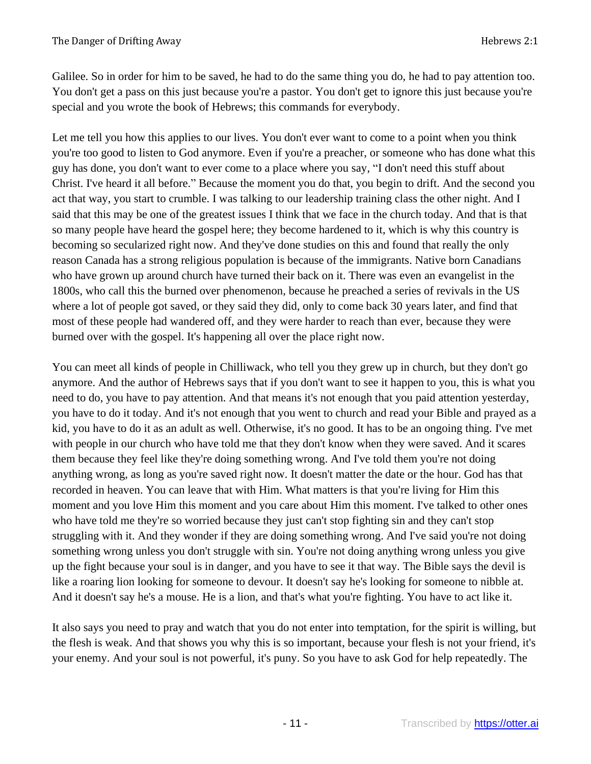Galilee. So in order for him to be saved, he had to do the same thing you do, he had to pay attention too. You don't get a pass on this just because you're a pastor. You don't get to ignore this just because you're special and you wrote the book of Hebrews; this commands for everybody.

Let me tell you how this applies to our lives. You don't ever want to come to a point when you think you're too good to listen to God anymore. Even if you're a preacher, or someone who has done what this guy has done, you don't want to ever come to a place where you say, "I don't need this stuff about Christ. I've heard it all before." Because the moment you do that, you begin to drift. And the second you act that way, you start to crumble. I was talking to our leadership training class the other night. And I said that this may be one of the greatest issues I think that we face in the church today. And that is that so many people have heard the gospel here; they become hardened to it, which is why this country is becoming so secularized right now. And they've done studies on this and found that really the only reason Canada has a strong religious population is because of the immigrants. Native born Canadians who have grown up around church have turned their back on it. There was even an evangelist in the 1800s, who call this the burned over phenomenon, because he preached a series of revivals in the US where a lot of people got saved, or they said they did, only to come back 30 years later, and find that most of these people had wandered off, and they were harder to reach than ever, because they were burned over with the gospel. It's happening all over the place right now.

You can meet all kinds of people in Chilliwack, who tell you they grew up in church, but they don't go anymore. And the author of Hebrews says that if you don't want to see it happen to you, this is what you need to do, you have to pay attention. And that means it's not enough that you paid attention yesterday, you have to do it today. And it's not enough that you went to church and read your Bible and prayed as a kid, you have to do it as an adult as well. Otherwise, it's no good. It has to be an ongoing thing. I've met with people in our church who have told me that they don't know when they were saved. And it scares them because they feel like they're doing something wrong. And I've told them you're not doing anything wrong, as long as you're saved right now. It doesn't matter the date or the hour. God has that recorded in heaven. You can leave that with Him. What matters is that you're living for Him this moment and you love Him this moment and you care about Him this moment. I've talked to other ones who have told me they're so worried because they just can't stop fighting sin and they can't stop struggling with it. And they wonder if they are doing something wrong. And I've said you're not doing something wrong unless you don't struggle with sin. You're not doing anything wrong unless you give up the fight because your soul is in danger, and you have to see it that way. The Bible says the devil is like a roaring lion looking for someone to devour. It doesn't say he's looking for someone to nibble at. And it doesn't say he's a mouse. He is a lion, and that's what you're fighting. You have to act like it.

It also says you need to pray and watch that you do not enter into temptation, for the spirit is willing, but the flesh is weak. And that shows you why this is so important, because your flesh is not your friend, it's your enemy. And your soul is not powerful, it's puny. So you have to ask God for help repeatedly. The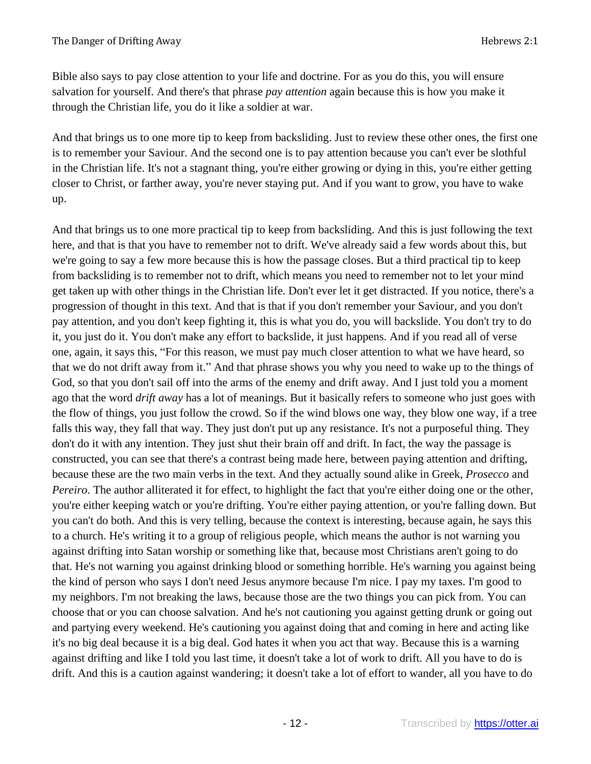Bible also says to pay close attention to your life and doctrine. For as you do this, you will ensure salvation for yourself. And there's that phrase *pay attention* again because this is how you make it through the Christian life, you do it like a soldier at war.

And that brings us to one more tip to keep from backsliding. Just to review these other ones, the first one is to remember your Saviour. And the second one is to pay attention because you can't ever be slothful in the Christian life. It's not a stagnant thing, you're either growing or dying in this, you're either getting closer to Christ, or farther away, you're never staying put. And if you want to grow, you have to wake up.

And that brings us to one more practical tip to keep from backsliding. And this is just following the text here, and that is that you have to remember not to drift. We've already said a few words about this, but we're going to say a few more because this is how the passage closes. But a third practical tip to keep from backsliding is to remember not to drift, which means you need to remember not to let your mind get taken up with other things in the Christian life. Don't ever let it get distracted. If you notice, there's a progression of thought in this text. And that is that if you don't remember your Saviour, and you don't pay attention, and you don't keep fighting it, this is what you do, you will backslide. You don't try to do it, you just do it. You don't make any effort to backslide, it just happens. And if you read all of verse one, again, it says this, "For this reason, we must pay much closer attention to what we have heard, so that we do not drift away from it." And that phrase shows you why you need to wake up to the things of God, so that you don't sail off into the arms of the enemy and drift away. And I just told you a moment ago that the word *drift away* has a lot of meanings. But it basically refers to someone who just goes with the flow of things, you just follow the crowd. So if the wind blows one way, they blow one way, if a tree falls this way, they fall that way. They just don't put up any resistance. It's not a purposeful thing. They don't do it with any intention. They just shut their brain off and drift. In fact, the way the passage is constructed, you can see that there's a contrast being made here, between paying attention and drifting, because these are the two main verbs in the text. And they actually sound alike in Greek, *Prosecco* and *Pereiro*. The author alliterated it for effect, to highlight the fact that you're either doing one or the other, you're either keeping watch or you're drifting. You're either paying attention, or you're falling down. But you can't do both. And this is very telling, because the context is interesting, because again, he says this to a church. He's writing it to a group of religious people, which means the author is not warning you against drifting into Satan worship or something like that, because most Christians aren't going to do that. He's not warning you against drinking blood or something horrible. He's warning you against being the kind of person who says I don't need Jesus anymore because I'm nice. I pay my taxes. I'm good to my neighbors. I'm not breaking the laws, because those are the two things you can pick from. You can choose that or you can choose salvation. And he's not cautioning you against getting drunk or going out and partying every weekend. He's cautioning you against doing that and coming in here and acting like it's no big deal because it is a big deal. God hates it when you act that way. Because this is a warning against drifting and like I told you last time, it doesn't take a lot of work to drift. All you have to do is drift. And this is a caution against wandering; it doesn't take a lot of effort to wander, all you have to do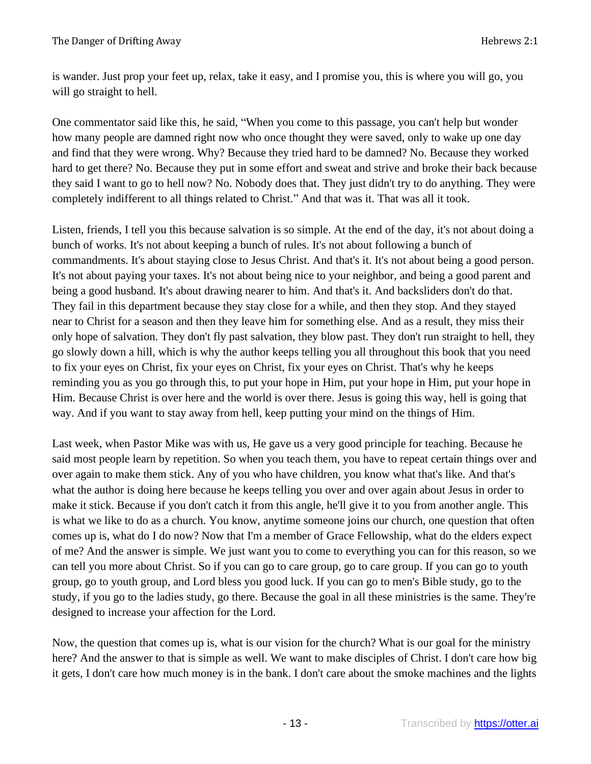is wander. Just prop your feet up, relax, take it easy, and I promise you, this is where you will go, you will go straight to hell.

One commentator said like this, he said, "When you come to this passage, you can't help but wonder how many people are damned right now who once thought they were saved, only to wake up one day and find that they were wrong. Why? Because they tried hard to be damned? No. Because they worked hard to get there? No. Because they put in some effort and sweat and strive and broke their back because they said I want to go to hell now? No. Nobody does that. They just didn't try to do anything. They were completely indifferent to all things related to Christ." And that was it. That was all it took.

Listen, friends, I tell you this because salvation is so simple. At the end of the day, it's not about doing a bunch of works. It's not about keeping a bunch of rules. It's not about following a bunch of commandments. It's about staying close to Jesus Christ. And that's it. It's not about being a good person. It's not about paying your taxes. It's not about being nice to your neighbor, and being a good parent and being a good husband. It's about drawing nearer to him. And that's it. And backsliders don't do that. They fail in this department because they stay close for a while, and then they stop. And they stayed near to Christ for a season and then they leave him for something else. And as a result, they miss their only hope of salvation. They don't fly past salvation, they blow past. They don't run straight to hell, they go slowly down a hill, which is why the author keeps telling you all throughout this book that you need to fix your eyes on Christ, fix your eyes on Christ, fix your eyes on Christ. That's why he keeps reminding you as you go through this, to put your hope in Him, put your hope in Him, put your hope in Him. Because Christ is over here and the world is over there. Jesus is going this way, hell is going that way. And if you want to stay away from hell, keep putting your mind on the things of Him.

Last week, when Pastor Mike was with us, He gave us a very good principle for teaching. Because he said most people learn by repetition. So when you teach them, you have to repeat certain things over and over again to make them stick. Any of you who have children, you know what that's like. And that's what the author is doing here because he keeps telling you over and over again about Jesus in order to make it stick. Because if you don't catch it from this angle, he'll give it to you from another angle. This is what we like to do as a church. You know, anytime someone joins our church, one question that often comes up is, what do I do now? Now that I'm a member of Grace Fellowship, what do the elders expect of me? And the answer is simple. We just want you to come to everything you can for this reason, so we can tell you more about Christ. So if you can go to care group, go to care group. If you can go to youth group, go to youth group, and Lord bless you good luck. If you can go to men's Bible study, go to the study, if you go to the ladies study, go there. Because the goal in all these ministries is the same. They're designed to increase your affection for the Lord.

Now, the question that comes up is, what is our vision for the church? What is our goal for the ministry here? And the answer to that is simple as well. We want to make disciples of Christ. I don't care how big it gets, I don't care how much money is in the bank. I don't care about the smoke machines and the lights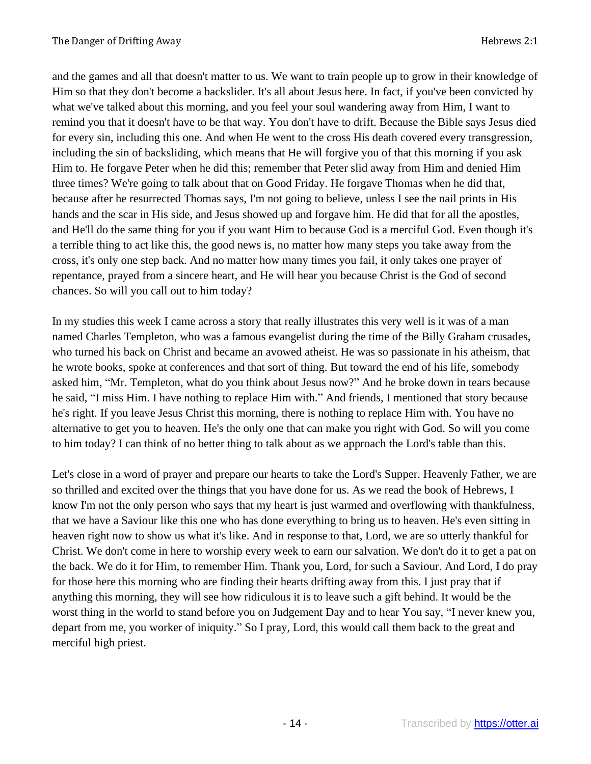and the games and all that doesn't matter to us. We want to train people up to grow in their knowledge of Him so that they don't become a backslider. It's all about Jesus here. In fact, if you've been convicted by what we've talked about this morning, and you feel your soul wandering away from Him, I want to remind you that it doesn't have to be that way. You don't have to drift. Because the Bible says Jesus died for every sin, including this one. And when He went to the cross His death covered every transgression, including the sin of backsliding, which means that He will forgive you of that this morning if you ask Him to. He forgave Peter when he did this; remember that Peter slid away from Him and denied Him three times? We're going to talk about that on Good Friday. He forgave Thomas when he did that, because after he resurrected Thomas says, I'm not going to believe, unless I see the nail prints in His hands and the scar in His side, and Jesus showed up and forgave him. He did that for all the apostles, and He'll do the same thing for you if you want Him to because God is a merciful God. Even though it's a terrible thing to act like this, the good news is, no matter how many steps you take away from the cross, it's only one step back. And no matter how many times you fail, it only takes one prayer of repentance, prayed from a sincere heart, and He will hear you because Christ is the God of second chances. So will you call out to him today?

In my studies this week I came across a story that really illustrates this very well is it was of a man named Charles Templeton, who was a famous evangelist during the time of the Billy Graham crusades, who turned his back on Christ and became an avowed atheist. He was so passionate in his atheism, that he wrote books, spoke at conferences and that sort of thing. But toward the end of his life, somebody asked him, "Mr. Templeton, what do you think about Jesus now?" And he broke down in tears because he said, "I miss Him. I have nothing to replace Him with." And friends, I mentioned that story because he's right. If you leave Jesus Christ this morning, there is nothing to replace Him with. You have no alternative to get you to heaven. He's the only one that can make you right with God. So will you come to him today? I can think of no better thing to talk about as we approach the Lord's table than this.

Let's close in a word of prayer and prepare our hearts to take the Lord's Supper. Heavenly Father, we are so thrilled and excited over the things that you have done for us. As we read the book of Hebrews, I know I'm not the only person who says that my heart is just warmed and overflowing with thankfulness, that we have a Saviour like this one who has done everything to bring us to heaven. He's even sitting in heaven right now to show us what it's like. And in response to that, Lord, we are so utterly thankful for Christ. We don't come in here to worship every week to earn our salvation. We don't do it to get a pat on the back. We do it for Him, to remember Him. Thank you, Lord, for such a Saviour. And Lord, I do pray for those here this morning who are finding their hearts drifting away from this. I just pray that if anything this morning, they will see how ridiculous it is to leave such a gift behind. It would be the worst thing in the world to stand before you on Judgement Day and to hear You say, "I never knew you, depart from me, you worker of iniquity." So I pray, Lord, this would call them back to the great and merciful high priest.